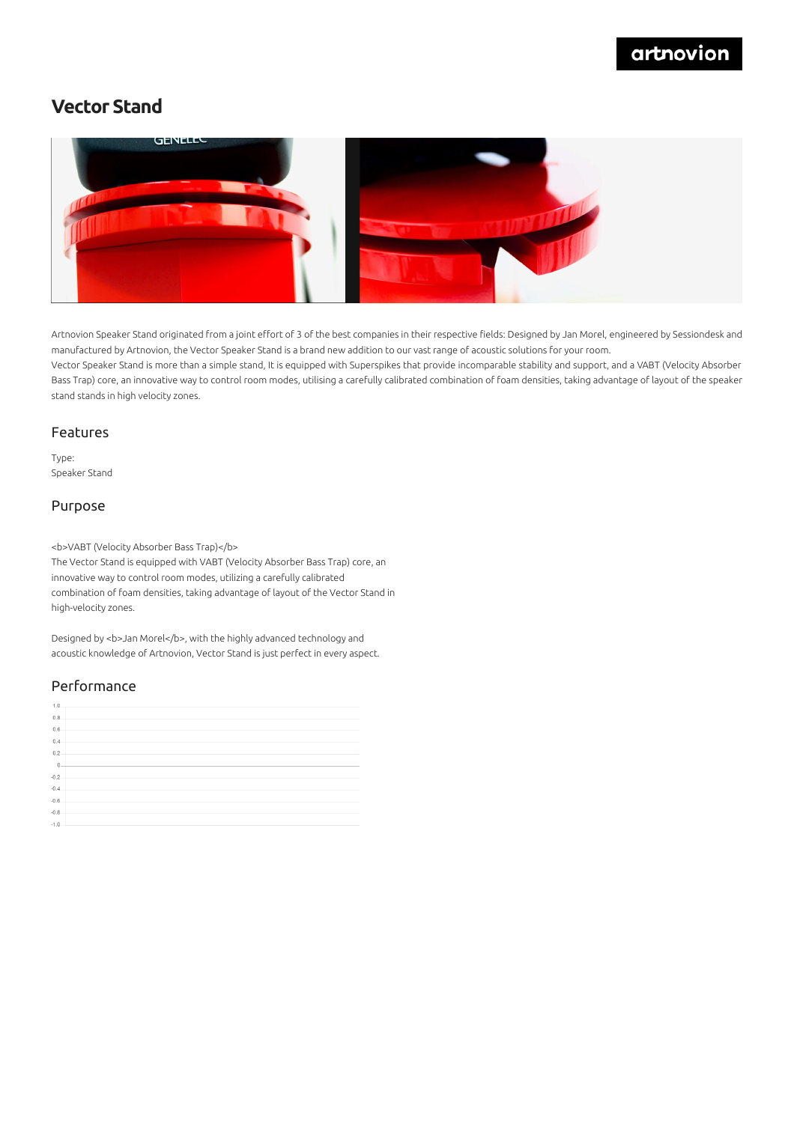## artnovion

## **Vector Stand**



Artnovion Speaker Stand originated from a joint effort of 3 of the best companies in their respective fields: Designed by Jan Morel, engineered by Sessiondesk and manufactured by Artnovion, the Vector Speaker Stand is a brand new addition to our vast range of acoustic solutions for your room. Vector Speaker Stand is more than a simple stand, It is equipped with Superspikes that provide incomparable stability and support, and a VABT (Velocity Absorber Bass Trap) core, an innovative way to control room modes, utilising a carefully calibrated combination of foam densities, taking advantage of layout of the speaker stand stands in high velocity zones.

#### Features

Type: Speaker Stand

#### Purpose

<b>VABT (Velocity Absorber Bass Trap)</b>

The Vector Stand is equipped with VABT (Velocity Absorber Bass Trap) core, an innovative way to control room modes, utilizing a carefully calibrated combination of foam densities, taking advantage of layout of the Vector Stand in high-velocity zones.

Designed by <b>Jan Morel</b>, with the highly advanced technology and acoustic knowledge of Artnovion, Vector Stand is just perfect in every aspect.

### Performance

| 1.0.             |  |
|------------------|--|
| 0.8              |  |
| 0.6              |  |
| 0.4              |  |
| 0.2              |  |
| $\overline{0}$ . |  |
| $-0.2$           |  |
| $-0.4$<br>$-0.6$ |  |
|                  |  |
| $-0.8$           |  |
| $-1.0$           |  |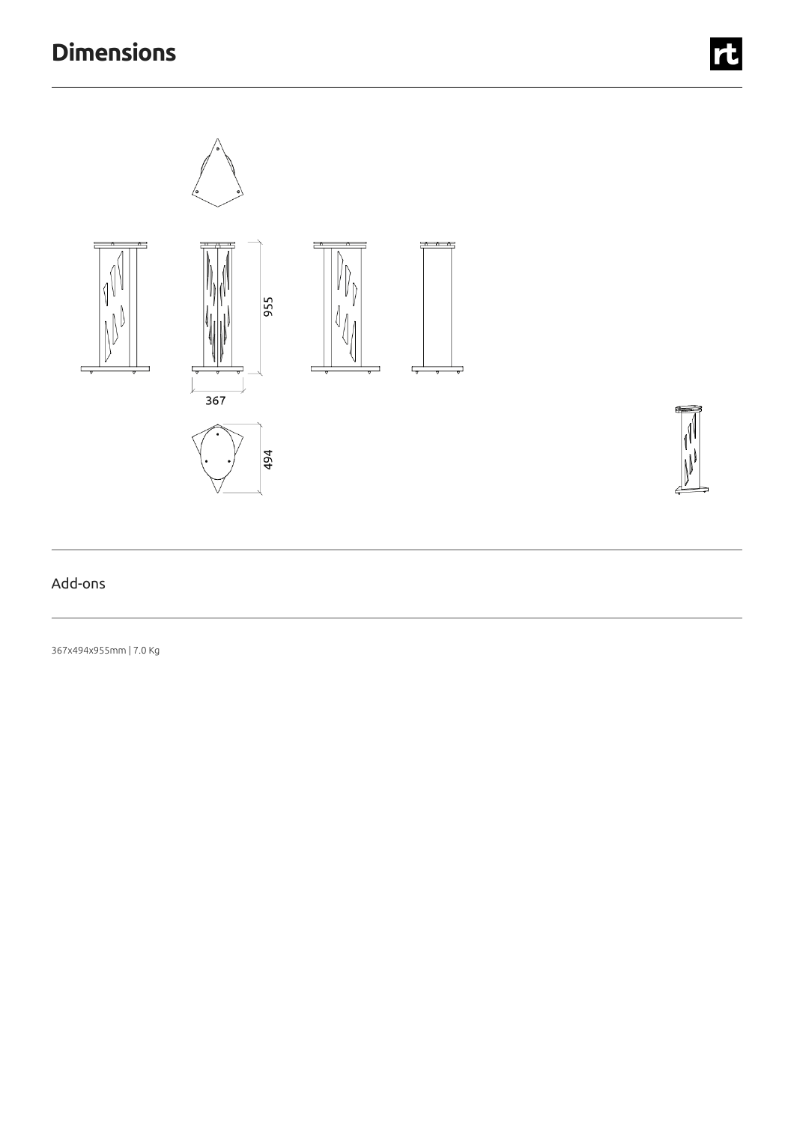# **Dimensions**



t

### Add-ons

367x494x955mm |7.0 Kg